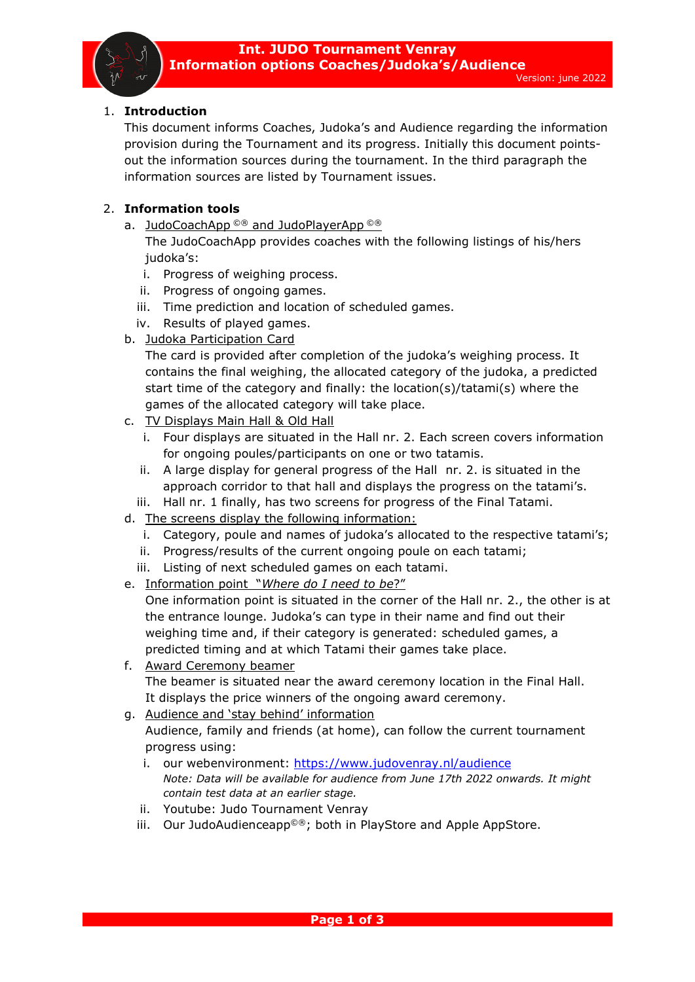## 1. **Introduction**

This document informs Coaches, Judoka's and Audience regarding the information provision during the Tournament and its progress. Initially this document pointsout the information sources during the tournament. In the third paragraph the information sources are listed by Tournament issues.

## 2. **Information tools**

a. JudoCoachApp<sup>©®</sup> and JudoPlayerApp<sup>©®</sup>

The JudoCoachApp provides coaches with the following listings of his/hers judoka's:

- i. Progress of weighing process.
- ii. Progress of ongoing games.
- iii. Time prediction and location of scheduled games.
- iv. Results of played games.
- b. Judoka Participation Card

The card is provided after completion of the judoka's weighing process. It contains the final weighing, the allocated category of the judoka, a predicted start time of the category and finally: the location(s)/tatami(s) where the games of the allocated category will take place.

- c. TV Displays Main Hall & Old Hall
	- i. Four displays are situated in the Hall nr. 2. Each screen covers information for ongoing poules/participants on one or two tatamis.
	- ii. A large display for general progress of the Hall nr. 2. is situated in the approach corridor to that hall and displays the progress on the tatami's.
	- iii. Hall nr. 1 finally, has two screens for progress of the Final Tatami.
- d. The screens display the following information:
	- i. Category, poule and names of judoka's allocated to the respective tatami's;
	- ii. Progress/results of the current ongoing poule on each tatami;
	- iii. Listing of next scheduled games on each tatami.
- e. Information point "*Where do I need to be*?"

One information point is situated in the corner of the Hall nr. 2., the other is at the entrance lounge. Judoka's can type in their name and find out their weighing time and, if their category is generated: scheduled games, a predicted timing and at which Tatami their games take place.

- f. Award Ceremony beamer The beamer is situated near the award ceremony location in the Final Hall. It displays the price winners of the ongoing award ceremony.
- g. Audience and 'stay behind' information

Audience, family and friends (at home), can follow the current tournament progress using:

- i. our webenvironment:<https://www.judovenray.nl/audience> *Note: Data will be available for audience from June 17th 2022 onwards. It might contain test data at an earlier stage.*
- ii. Youtube: Judo Tournament Venray
- iii. Our JudoAudienceapp<sup>©®</sup>; both in PlayStore and Apple AppStore.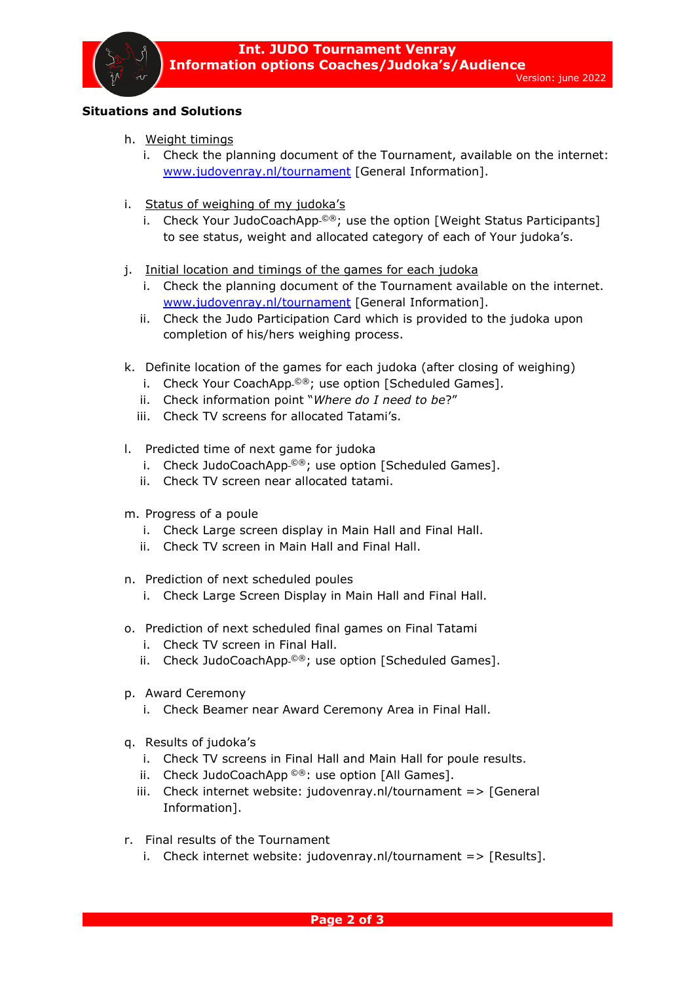

- h. Weight timings
	- i. Check the planning document of the Tournament, available on the internet: [www.judovenray.nl/tournament](http://www.judovenray.nl/tournament) [General Information].
- i. Status of weighing of my judoka's
	- i. Check Your JudoCoachApp<sup>©®</sup>; use the option [Weight Status Participants] to see status, weight and allocated category of each of Your judoka's.
- j. Initial location and timings of the games for each judoka
	- i. Check the planning document of the Tournament available on the internet. [www.judovenray.nl/tournament](http://www.judovenray.nl/tournament) [General Information].
	- ii. Check the Judo Participation Card which is provided to the judoka upon completion of his/hers weighing process.
- k. Definite location of the games for each judoka (after closing of weighing)
	- i. Check Your CoachApp<sup>©®</sup>; use option [Scheduled Games].
	- ii. Check information point "*Where do I need to be*?"
	- iii. Check TV screens for allocated Tatami's.
- l. Predicted time of next game for judoka
	- i. Check JudoCoachApp $^{\circ\circ}$ ; use option [Scheduled Games].
	- ii. Check TV screen near allocated tatami.
- m. Progress of a poule
	- i. Check Large screen display in Main Hall and Final Hall.
	- ii. Check TV screen in Main Hall and Final Hall.
- n. Prediction of next scheduled poules
	- i. Check Large Screen Display in Main Hall and Final Hall.
- o. Prediction of next scheduled final games on Final Tatami
	- i. Check TV screen in Final Hall.
	- ii. Check JudoCoachApp<sup>\_@®</sup>; use option [Scheduled Games].
- p. Award Ceremony
	- i. Check Beamer near Award Ceremony Area in Final Hall.
- q. Results of judoka's
	- i. Check TV screens in Final Hall and Main Hall for poule results.
	- ii. Check JudoCoachApp ©®: use option [All Games].
	- iii. Check internet website: judovenray.nl/tournament => [General Information].
- r. Final results of the Tournament
	- i. Check internet website: judovenray.nl/tournament  $\Rightarrow$  [Results].